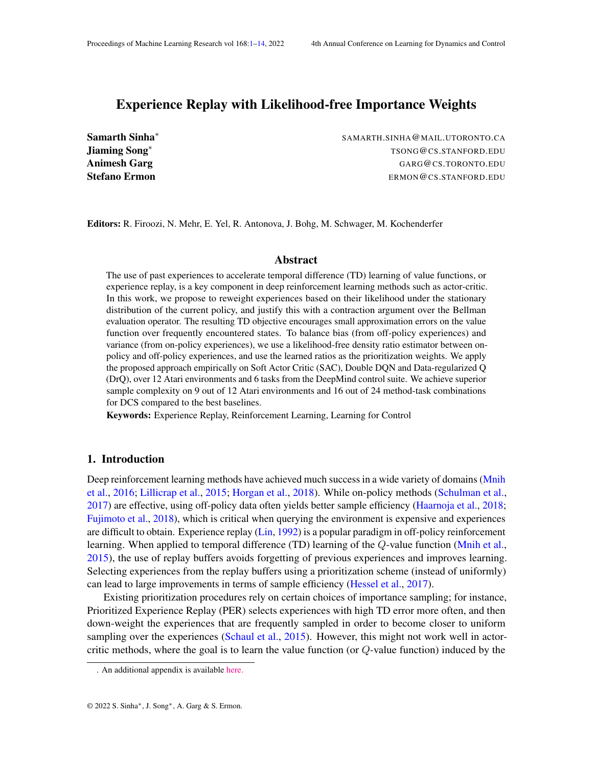# <span id="page-0-0"></span>Experience Replay with Likelihood-free Importance Weights

Samarth Sinha<sup>∗</sup> Jiaming Song<sup>∗</sup>

SAMARTH.SINHA@MAIL.UTORONTO.CA TSONG@CS.STANFORD.EDU Animesh Garg GARG@CS.TORONTO.EDU **Stefano Ermon** Ermon Ermon Ermon Ermon Ermon Ermon Ermon Ermon Ermon Ermon Ermon Ermon Ermon Ermon Ermon Ermon E

Editors: R. Firoozi, N. Mehr, E. Yel, R. Antonova, J. Bohg, M. Schwager, M. Kochenderfer

### Abstract

The use of past experiences to accelerate temporal difference (TD) learning of value functions, or experience replay, is a key component in deep reinforcement learning methods such as actor-critic. In this work, we propose to reweight experiences based on their likelihood under the stationary distribution of the current policy, and justify this with a contraction argument over the Bellman evaluation operator. The resulting TD objective encourages small approximation errors on the value function over frequently encountered states. To balance bias (from off-policy experiences) and variance (from on-policy experiences), we use a likelihood-free density ratio estimator between onpolicy and off-policy experiences, and use the learned ratios as the prioritization weights. We apply the proposed approach empirically on Soft Actor Critic (SAC), Double DQN and Data-regularized Q (DrQ), over 12 Atari environments and 6 tasks from the DeepMind control suite. We achieve superior sample complexity on 9 out of 12 Atari environments and 16 out of 24 method-task combinations for DCS compared to the best baselines.

Keywords: Experience Replay, Reinforcement Learning, Learning for Control

### 1. Introduction

Deep reinforcement learning methods have achieved much success in a wide variety of domains [\(Mnih](#page-11-0) [et al.,](#page-11-0) [2016;](#page-11-0) [Lillicrap et al.,](#page-11-1) [2015;](#page-11-1) [Horgan et al.,](#page-11-2) [2018\)](#page-11-2). While on-policy methods [\(Schulman et al.,](#page-12-0) [2017\)](#page-12-0) are effective, using off-policy data often yields better sample efficiency [\(Haarnoja et al.,](#page-10-0) [2018;](#page-10-0) [Fujimoto et al.,](#page-10-1) [2018\)](#page-10-1), which is critical when querying the environment is expensive and experiences are difficult to obtain. Experience replay [\(Lin,](#page-11-3) [1992\)](#page-11-3) is a popular paradigm in off-policy reinforcement learning. When applied to temporal difference (TD) learning of the Q-value function [\(Mnih et al.,](#page-11-4) [2015\)](#page-11-4), the use of replay buffers avoids forgetting of previous experiences and improves learning. Selecting experiences from the replay buffers using a prioritization scheme (instead of uniformly) can lead to large improvements in terms of sample efficiency [\(Hessel et al.,](#page-11-5) [2017\)](#page-11-5).

Existing prioritization procedures rely on certain choices of importance sampling; for instance, Prioritized Experience Replay (PER) selects experiences with high TD error more often, and then down-weight the experiences that are frequently sampled in order to become closer to uniform sampling over the experiences [\(Schaul et al.,](#page-12-1) [2015\)](#page-12-1). However, this might not work well in actorcritic methods, where the goal is to learn the value function (or  $Q$ -value function) induced by the

<sup>.</sup> An additional appendix is available [here.](https://drive.google.com/file/d/1irraRIlq-Pj8UUASu8CTNB_3Jcv6BI6k/view?usp=sharing)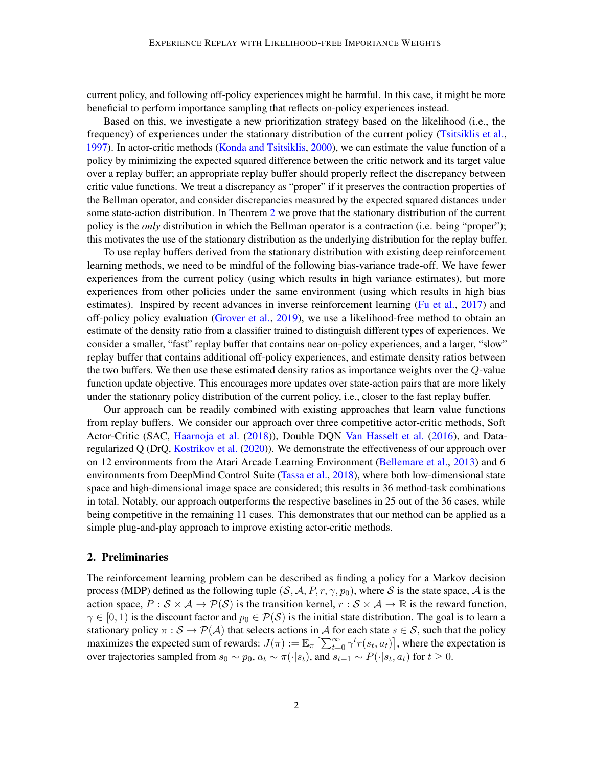current policy, and following off-policy experiences might be harmful. In this case, it might be more beneficial to perform importance sampling that reflects on-policy experiences instead.

Based on this, we investigate a new prioritization strategy based on the likelihood (i.e., the frequency) of experiences under the stationary distribution of the current policy [\(Tsitsiklis et al.,](#page-12-2) [1997\)](#page-12-2). In actor-critic methods [\(Konda and Tsitsiklis,](#page-11-6) [2000\)](#page-11-6), we can estimate the value function of a policy by minimizing the expected squared difference between the critic network and its target value over a replay buffer; an appropriate replay buffer should properly reflect the discrepancy between critic value functions. We treat a discrepancy as "proper" if it preserves the contraction properties of the Bellman operator, and consider discrepancies measured by the expected squared distances under some state-action distribution. In Theorem [2](#page-3-0) we prove that the stationary distribution of the current policy is the *only* distribution in which the Bellman operator is a contraction (i.e. being "proper"); this motivates the use of the stationary distribution as the underlying distribution for the replay buffer.

To use replay buffers derived from the stationary distribution with existing deep reinforcement learning methods, we need to be mindful of the following bias-variance trade-off. We have fewer experiences from the current policy (using which results in high variance estimates), but more experiences from other policies under the same environment (using which results in high bias estimates). Inspired by recent advances in inverse reinforcement learning [\(Fu et al.,](#page-10-2) [2017\)](#page-10-2) and off-policy policy evaluation [\(Grover et al.,](#page-10-3) [2019\)](#page-10-3), we use a likelihood-free method to obtain an estimate of the density ratio from a classifier trained to distinguish different types of experiences. We consider a smaller, "fast" replay buffer that contains near on-policy experiences, and a larger, "slow" replay buffer that contains additional off-policy experiences, and estimate density ratios between the two buffers. We then use these estimated density ratios as importance weights over the  $Q$ -value function update objective. This encourages more updates over state-action pairs that are more likely under the stationary policy distribution of the current policy, i.e., closer to the fast replay buffer.

Our approach can be readily combined with existing approaches that learn value functions from replay buffers. We consider our approach over three competitive actor-critic methods, Soft Actor-Critic (SAC, [Haarnoja et al.](#page-10-0) [\(2018\)](#page-10-0)), Double DQN [Van Hasselt et al.](#page-12-3) [\(2016\)](#page-12-3), and Dataregularized Q (DrQ, [Kostrikov et al.](#page-11-7) [\(2020\)](#page-11-7)). We demonstrate the effectiveness of our approach over on 12 environments from the Atari Arcade Learning Environment [\(Bellemare et al.,](#page-10-4) [2013\)](#page-10-4) and 6 environments from DeepMind Control Suite [\(Tassa et al.,](#page-12-4) [2018\)](#page-12-4), where both low-dimensional state space and high-dimensional image space are considered; this results in 36 method-task combinations in total. Notably, our approach outperforms the respective baselines in 25 out of the 36 cases, while being competitive in the remaining 11 cases. This demonstrates that our method can be applied as a simple plug-and-play approach to improve existing actor-critic methods.

## 2. Preliminaries

The reinforcement learning problem can be described as finding a policy for a Markov decision process (MDP) defined as the following tuple  $(S, A, P, r, \gamma, p_0)$ , where S is the state space, A is the action space,  $P : \mathcal{S} \times \mathcal{A} \rightarrow \mathcal{P}(\mathcal{S})$  is the transition kernel,  $r : \mathcal{S} \times \mathcal{A} \rightarrow \mathbb{R}$  is the reward function,  $\gamma \in [0, 1)$  is the discount factor and  $p_0 \in \mathcal{P}(\mathcal{S})$  is the initial state distribution. The goal is to learn a stationary policy  $\pi : S \to \mathcal{P}(\mathcal{A})$  that selects actions in A for each state  $s \in S$ , such that the policy maximizes the expected sum of rewards:  $J(\pi) := \mathbb{E}_{\pi} \left[ \sum_{t=0}^{\infty} \gamma^t r(s_t, a_t) \right]$ , where the expectation is over trajectories sampled from  $s_0 \sim p_0$ ,  $a_t \sim \pi(\cdot|s_t)$ , and  $s_{t+1} \sim P(\cdot|s_t, a_t)$  for  $t \ge 0$ .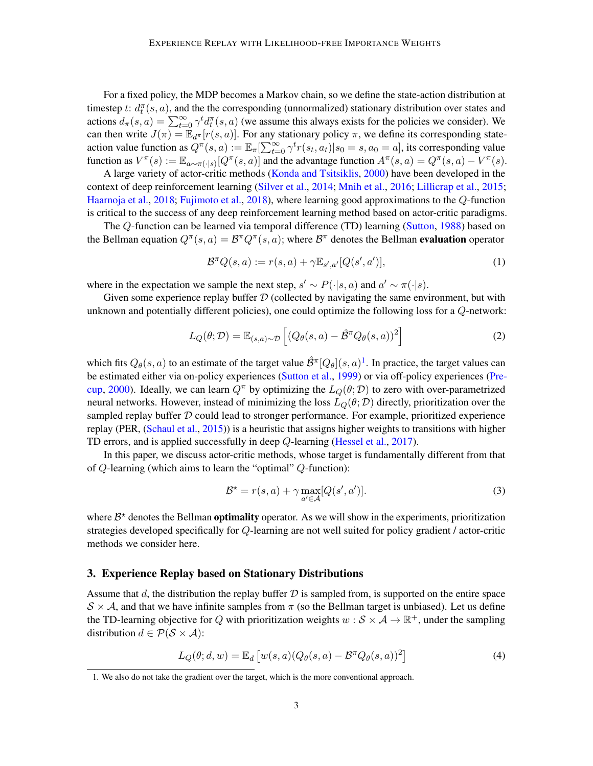For a fixed policy, the MDP becomes a Markov chain, so we define the state-action distribution at timestep t:  $d_t^{\pi}(s, a)$ , and the the corresponding (unnormalized) stationary distribution over states and actions  $d_{\pi}(s, a) = \sum_{t=0}^{\infty} \gamma^t d_t^{\pi}(s, a)$  (we assume this always exists for the policies we consider). We can then write  $J(\pi) = \mathbb{E}_{d^{\pi}}[r(s, a)]$ . For any stationary policy  $\pi$ , we define its corresponding stateaction value function as  $Q^{\pi}(s, a) := \mathbb{E}_{\pi}[\sum_{t=0}^{\infty} \gamma^t r(s_t, a_t) | s_0 = s, a_0 = a]$ , its corresponding value function as  $V^{\pi}(s) := \mathbb{E}_{a \sim \pi(\cdot|s)}[Q^{\pi}(s, a)]$  and the advantage function  $A^{\pi}(s, a) = Q^{\pi}(s, a) - V^{\pi}(s)$ .

A large variety of actor-critic methods [\(Konda and Tsitsiklis,](#page-11-6) [2000\)](#page-11-6) have been developed in the context of deep reinforcement learning [\(Silver et al.,](#page-12-5) [2014;](#page-12-5) [Mnih et al.,](#page-11-0) [2016;](#page-11-0) [Lillicrap et al.,](#page-11-1) [2015;](#page-11-1) [Haarnoja et al.,](#page-10-0) [2018;](#page-10-0) [Fujimoto et al.,](#page-10-1) [2018\)](#page-10-1), where learning good approximations to the Q-function is critical to the success of any deep reinforcement learning method based on actor-critic paradigms.

The Q-function can be learned via temporal difference (TD) learning [\(Sutton,](#page-12-6) [1988\)](#page-12-6) based on the Bellman equation  $Q^{\pi}(s, a) = \mathcal{B}^{\pi} Q^{\pi}(s, a)$ ; where  $\mathcal{B}^{\pi}$  denotes the Bellman evaluation operator

$$
\mathcal{B}^{\pi}Q(s,a) := r(s,a) + \gamma \mathbb{E}_{s',a'}[Q(s',a')],\tag{1}
$$

where in the expectation we sample the next step,  $s' \sim P(\cdot|s, a)$  and  $a' \sim \pi(\cdot|s)$ .

Given some experience replay buffer  $D$  (collected by navigating the same environment, but with unknown and potentially different policies), one could optimize the following loss for a Q-network:

$$
L_Q(\theta; \mathcal{D}) = \mathbb{E}_{(s,a)\sim\mathcal{D}}\left[ (Q_\theta(s,a) - \hat{\mathcal{B}}^\pi Q_\theta(s,a))^2 \right]
$$
 (2)

which fits  $Q_{\theta}(s, a)$  to an estimate of the target value  $\hat{\mathcal{B}}^{\pi}[Q_{\theta}](s, a)^{1}$  $\hat{\mathcal{B}}^{\pi}[Q_{\theta}](s, a)^{1}$  $\hat{\mathcal{B}}^{\pi}[Q_{\theta}](s, a)^{1}$ . In practice, the target values can be estimated either via on-policy experiences [\(Sutton et al.,](#page-12-7) [1999\)](#page-12-7) or via off-policy experiences [\(Pre](#page-12-8)[cup,](#page-12-8) [2000\)](#page-12-8). Ideally, we can learn  $Q^{\pi}$  by optimizing the  $L_{Q}(\theta;\mathcal{D})$  to zero with over-parametrized neural networks. However, instead of minimizing the loss  $L_Q(\theta; \mathcal{D})$  directly, prioritization over the sampled replay buffer  $D$  could lead to stronger performance. For example, prioritized experience replay (PER, [\(Schaul et al.,](#page-12-1) [2015\)](#page-12-1)) is a heuristic that assigns higher weights to transitions with higher TD errors, and is applied successfully in deep  $Q$ -learning [\(Hessel et al.,](#page-11-5) [2017\)](#page-11-5).

In this paper, we discuss actor-critic methods, whose target is fundamentally different from that of Q-learning (which aims to learn the "optimal" Q-function):

$$
\mathcal{B}^{\star} = r(s, a) + \gamma \max_{a' \in \mathcal{A}} [Q(s', a')]. \tag{3}
$$

where  $B^*$  denotes the Bellman **optimality** operator. As we will show in the experiments, prioritization strategies developed specifically for Q-learning are not well suited for policy gradient / actor-critic methods we consider here.

### 3. Experience Replay based on Stationary Distributions

Assume that d, the distribution the replay buffer  $D$  is sampled from, is supported on the entire space  $S \times A$ , and that we have infinite samples from  $\pi$  (so the Bellman target is unbiased). Let us define the TD-learning objective for Q with prioritization weights  $w : \mathcal{S} \times \mathcal{A} \to \mathbb{R}^+$ , under the sampling distribution  $d \in \mathcal{P}(\mathcal{S} \times \mathcal{A})$ :

$$
L_Q(\theta; d, w) = \mathbb{E}_d \left[ w(s, a) (Q_\theta(s, a) - \mathcal{B}^\pi Q_\theta(s, a))^2 \right]
$$
(4)

<span id="page-2-0"></span><sup>1.</sup> We also do not take the gradient over the target, which is the more conventional approach.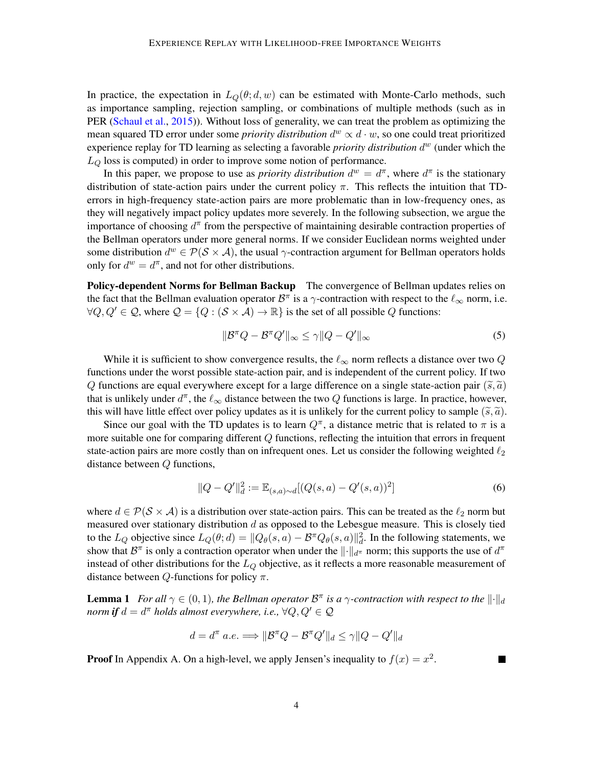In practice, the expectation in  $L_Q(\theta; d, w)$  can be estimated with Monte-Carlo methods, such as importance sampling, rejection sampling, or combinations of multiple methods (such as in PER [\(Schaul et al.,](#page-12-1) [2015\)](#page-12-1)). Without loss of generality, we can treat the problem as optimizing the mean squared TD error under some *priority distribution*  $d^w \propto d \cdot w$ , so one could treat prioritized experience replay for TD learning as selecting a favorable *priority distribution*  $d^w$  (under which the  $L<sub>O</sub>$  loss is computed) in order to improve some notion of performance.

In this paper, we propose to use as *priority distribution*  $d^w = d^{\pi}$ , where  $d^{\pi}$  is the stationary distribution of state-action pairs under the current policy  $\pi$ . This reflects the intuition that TDerrors in high-frequency state-action pairs are more problematic than in low-frequency ones, as they will negatively impact policy updates more severely. In the following subsection, we argue the importance of choosing  $d^{\pi}$  from the perspective of maintaining desirable contraction properties of the Bellman operators under more general norms. If we consider Euclidean norms weighted under some distribution  $d^w \in \mathcal{P}(\mathcal{S} \times \mathcal{A})$ , the usual  $\gamma$ -contraction argument for Bellman operators holds only for  $d^w = d^{\pi}$ , and not for other distributions.

Policy-dependent Norms for Bellman Backup The convergence of Bellman updates relies on the fact that the Bellman evaluation operator  $\mathcal{B}^{\pi}$  is a  $\gamma$ -contraction with respect to the  $\ell_{\infty}$  norm, i.e.  $\forall Q, Q' \in \mathcal{Q}$ , where  $\mathcal{Q} = \{Q : (\mathcal{S} \times \mathcal{A}) \to \mathbb{R}\}\$ is the set of all possible  $Q$  functions:

$$
\|\mathcal{B}^{\pi}Q - \mathcal{B}^{\pi}Q'\|_{\infty} \le \gamma \|Q - Q'\|_{\infty} \tag{5}
$$

While it is sufficient to show convergence results, the  $\ell_{\infty}$  norm reflects a distance over two Q functions under the worst possible state-action pair, and is independent of the current policy. If two Q functions are equal everywhere except for a large difference on a single state-action pair  $(\tilde{s}, \tilde{a})$ that is unlikely under  $d^{\pi}$ , the  $\ell_{\infty}$  distance between the two  $Q$  functions is large. In practice, however, this will have little effect over policy updates as it is unlikely for the current policy to sample  $(\tilde{s}, \tilde{a})$ .

Since our goal with the TD updates is to learn  $Q^{\pi}$ , a distance metric that is related to  $\pi$  is a more suitable one for comparing different Q functions, reflecting the intuition that errors in frequent state-action pairs are more costly than on infrequent ones. Let us consider the following weighted  $\ell_2$ distance between Q functions,

$$
||Q - Q'||_d^2 := \mathbb{E}_{(s,a)\sim d}[(Q(s,a) - Q'(s,a))^2]
$$
\n(6)

where  $d \in \mathcal{P}(\mathcal{S} \times \mathcal{A})$  is a distribution over state-action pairs. This can be treated as the  $\ell_2$  norm but measured over stationary distribution  $d$  as opposed to the Lebesgue measure. This is closely tied to the  $L_Q$  objective since  $L_Q(\theta; d) = ||Q_\theta(s, a) - \mathcal{B}^\pi Q_\theta(s, a)||_d^2$ . In the following statements, we show that  $\mathcal{B}^{\pi}$  is only a contraction operator when under the  $\|\cdot\|_{d^{\pi}}$  norm; this supports the use of  $d^{\pi}$ instead of other distributions for the  $L<sub>O</sub>$  objective, as it reflects a more reasonable measurement of distance between  $Q$ -functions for policy  $\pi$ .

**Lemma 1** For all  $\gamma \in (0,1)$ , the Bellman operator  $\mathcal{B}^{\pi}$  is a  $\gamma$ -contraction with respect to the  $\|\cdot\|_d$  ${\it norm}$  *if*  $d=d^{\pi}$  *holds almost everywhere, i.e.,*  $\forall Q,Q' \in \mathcal{Q}$ 

$$
d = d^{\pi} \ a.e. \Longrightarrow ||\mathcal{B}^{\pi} Q - \mathcal{B}^{\pi} Q'||_d \le \gamma ||Q - Q'||_d
$$

<span id="page-3-0"></span>**Proof** In Appendix A. On a high-level, we apply Jensen's inequality to  $f(x) = x^2$ .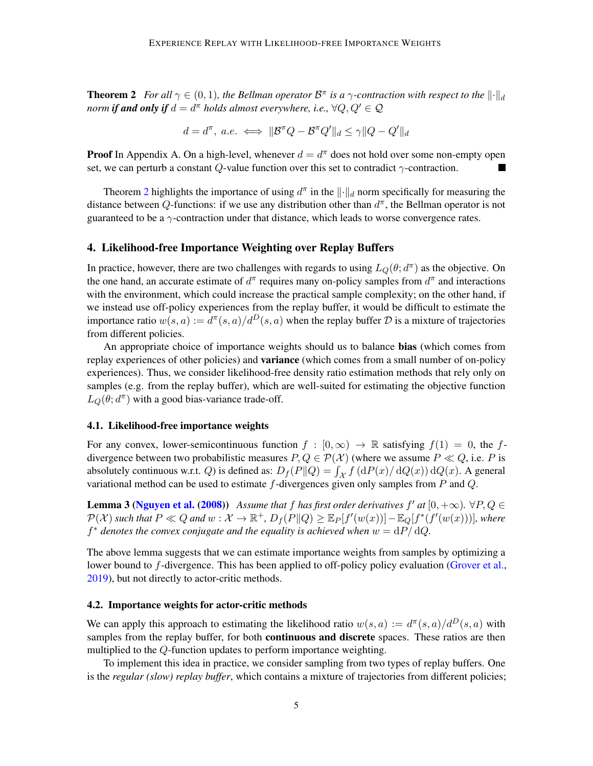**Theorem 2** *For all*  $\gamma \in (0,1)$ *, the Bellman operator*  $\mathcal{B}^{\pi}$  *is a*  $\gamma$ *-contraction with respect to the*  $\|\cdot\|_d$  $\mathit{norm}$  **if and only if**  $d = d^\pi$  holds almost everywhere, i.e.,  $\forall Q, Q' \in \mathcal{Q}$ 

$$
d = d^{\pi}, \ a.e. \iff ||\mathcal{B}^{\pi}Q - \mathcal{B}^{\pi}Q'||_d \leq \gamma ||Q - Q'||_d
$$

**Proof** In Appendix A. On a high-level, whenever  $d = d^{\pi}$  does not hold over some non-empty open set, we can perturb a constant  $Q$ -value function over this set to contradict  $\gamma$ -contraction.

Theorem [2](#page-3-0) highlights the importance of using  $d^{\pi}$  in the  $\|\cdot\|_d$  norm specifically for measuring the distance between Q-functions: if we use any distribution other than  $d^{\pi}$ , the Bellman operator is not guaranteed to be a  $\gamma$ -contraction under that distance, which leads to worse convergence rates.

### 4. Likelihood-free Importance Weighting over Replay Buffers

In practice, however, there are two challenges with regards to using  $L_Q(\theta; d^{\pi})$  as the objective. On the one hand, an accurate estimate of  $d^{\pi}$  requires many on-policy samples from  $d^{\pi}$  and interactions with the environment, which could increase the practical sample complexity; on the other hand, if we instead use off-policy experiences from the replay buffer, it would be difficult to estimate the importance ratio  $w(s, a) := d^{\pi}(s, a)/d^D(s, a)$  when the replay buffer D is a mixture of trajectories from different policies.

An appropriate choice of importance weights should us to balance bias (which comes from replay experiences of other policies) and **variance** (which comes from a small number of on-policy experiences). Thus, we consider likelihood-free density ratio estimation methods that rely only on samples (e.g. from the replay buffer), which are well-suited for estimating the objective function  $L_Q(\theta; d^{\pi})$  with a good bias-variance trade-off.

#### 4.1. Likelihood-free importance weights

For any convex, lower-semicontinuous function  $f : [0, \infty) \to \mathbb{R}$  satisfying  $f(1) = 0$ , the fdivergence between two probabilistic measures  $P, Q \in \mathcal{P}(\mathcal{X})$  (where we assume  $P \ll Q$ , i.e. P is absolutely continuous w.r.t. Q) is defined as:  $D_f(P||Q) = \int_{\mathcal{X}} f(dP(x)/ dQ(x)) dQ(x)$ . A general variational method can be used to estimate  $f$ -divergences given only samples from  $P$  and  $Q$ .

<span id="page-4-0"></span>**Lemma 3 [\(Nguyen et al.](#page-12-9) [\(2008\)](#page-12-9))** Assume that f has first order derivatives f' at  $[0, +\infty)$ .  $\forall P, Q \in$  $\mathcal{P}(\mathcal{X})$  such that  $P\ll Q$  and  $w:\mathcal{X}\to \mathbb{R}^+$ ,  $D_f(P\|Q)\geq \mathbb{E}_P[f'(w(x))]-\mathbb{E}_Q[f^*(f'(w(x)))]$ , where  $f^*$  *denotes the convex conjugate and the equality is achieved when*  $w = dP/dQ$ .

The above lemma suggests that we can estimate importance weights from samples by optimizing a lower bound to f-divergence. This has been applied to off-policy policy evaluation [\(Grover et al.,](#page-10-3) [2019\)](#page-10-3), but not directly to actor-critic methods.

### 4.2. Importance weights for actor-critic methods

We can apply this approach to estimating the likelihood ratio  $w(s, a) := d^{\pi}(s, a)/d^D(s, a)$  with samples from the replay buffer, for both **continuous and discrete** spaces. These ratios are then multiplied to the Q-function updates to perform importance weighting.

To implement this idea in practice, we consider sampling from two types of replay buffers. One is the *regular (slow) replay buffer*, which contains a mixture of trajectories from different policies;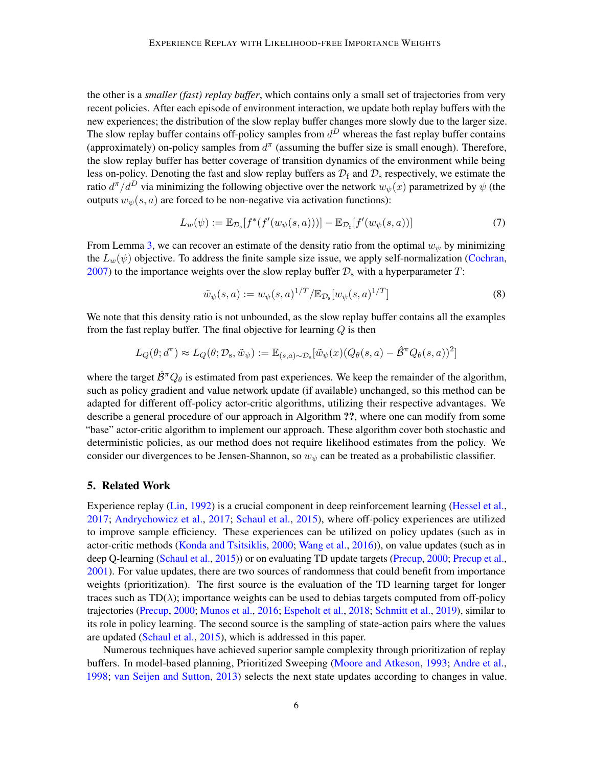the other is a *smaller (fast) replay buffer*, which contains only a small set of trajectories from very recent policies. After each episode of environment interaction, we update both replay buffers with the new experiences; the distribution of the slow replay buffer changes more slowly due to the larger size. The slow replay buffer contains off-policy samples from  $d^D$  whereas the fast replay buffer contains (approximately) on-policy samples from  $d^{\pi}$  (assuming the buffer size is small enough). Therefore, the slow replay buffer has better coverage of transition dynamics of the environment while being less on-policy. Denoting the fast and slow replay buffers as  $\mathcal{D}_f$  and  $\mathcal{D}_s$  respectively, we estimate the ratio  $d^{\pi}/d^D$  via minimizing the following objective over the network  $w_{\psi}(x)$  parametrized by  $\psi$  (the outputs  $w_{\psi}(s, a)$  are forced to be non-negative via activation functions):

$$
L_w(\psi) := \mathbb{E}_{\mathcal{D}_s}[f^*(f'(w_\psi(s, a)))] - \mathbb{E}_{\mathcal{D}_f}[f'(w_\psi(s, a))]
$$
(7)

From Lemma [3,](#page-4-0) we can recover an estimate of the density ratio from the optimal  $w_{\psi}$  by minimizing the  $L_w(\psi)$  objective. To address the finite sample size issue, we apply self-normalization [\(Cochran,](#page-10-5) [2007\)](#page-10-5) to the importance weights over the slow replay buffer  $\mathcal{D}_s$  with a hyperparameter T:

<span id="page-5-0"></span>
$$
\tilde{w}_{\psi}(s, a) := w_{\psi}(s, a)^{1/T} / \mathbb{E}_{\mathcal{D}_s}[w_{\psi}(s, a)^{1/T}] \tag{8}
$$

We note that this density ratio is not unbounded, as the slow replay buffer contains all the examples from the fast replay buffer. The final objective for learning  $Q$  is then

$$
L_Q(\theta; d^{\pi}) \approx L_Q(\theta; \mathcal{D}_s, \tilde{w}_{\psi}) := \mathbb{E}_{(s,a) \sim \mathcal{D}_s}[\tilde{w}_{\psi}(x) (Q_{\theta}(s,a) - \hat{\mathcal{B}}^{\pi} Q_{\theta}(s,a))^2]
$$

where the target  $\hat{\mathcal{B}}^{\pi}Q_{\theta}$  is estimated from past experiences. We keep the remainder of the algorithm, such as policy gradient and value network update (if available) unchanged, so this method can be adapted for different off-policy actor-critic algorithms, utilizing their respective advantages. We describe a general procedure of our approach in Algorithm ??, where one can modify from some "base" actor-critic algorithm to implement our approach. These algorithm cover both stochastic and deterministic policies, as our method does not require likelihood estimates from the policy. We consider our divergences to be Jensen-Shannon, so  $w_{\psi}$  can be treated as a probabilistic classifier.

### 5. Related Work

Experience replay [\(Lin,](#page-11-3) [1992\)](#page-11-3) is a crucial component in deep reinforcement learning [\(Hessel et al.,](#page-11-5) [2017;](#page-11-5) [Andrychowicz et al.,](#page-10-6) [2017;](#page-10-6) [Schaul et al.,](#page-12-1) [2015\)](#page-12-1), where off-policy experiences are utilized to improve sample efficiency. These experiences can be utilized on policy updates (such as in actor-critic methods [\(Konda and Tsitsiklis,](#page-11-6) [2000;](#page-11-6) [Wang et al.,](#page-13-1) [2016\)](#page-13-1)), on value updates (such as in deep Q-learning [\(Schaul et al.,](#page-12-1) [2015\)](#page-12-1)) or on evaluating TD update targets [\(Precup,](#page-12-8) [2000;](#page-12-8) [Precup et al.,](#page-12-10) [2001\)](#page-12-10). For value updates, there are two sources of randomness that could benefit from importance weights (prioritization). The first source is the evaluation of the TD learning target for longer traces such as  $TD(\lambda)$ ; importance weights can be used to debias targets computed from off-policy trajectories [\(Precup,](#page-12-8) [2000;](#page-12-8) [Munos et al.,](#page-11-8) [2016;](#page-11-8) [Espeholt et al.,](#page-10-7) [2018;](#page-10-7) [Schmitt et al.,](#page-12-11) [2019\)](#page-12-11), similar to its role in policy learning. The second source is the sampling of state-action pairs where the values are updated [\(Schaul et al.,](#page-12-1) [2015\)](#page-12-1), which is addressed in this paper.

Numerous techniques have achieved superior sample complexity through prioritization of replay buffers. In model-based planning, Prioritized Sweeping [\(Moore and Atkeson,](#page-11-9) [1993;](#page-11-9) [Andre et al.,](#page-10-8) [1998;](#page-10-8) [van Seijen and Sutton,](#page-12-12) [2013\)](#page-12-12) selects the next state updates according to changes in value.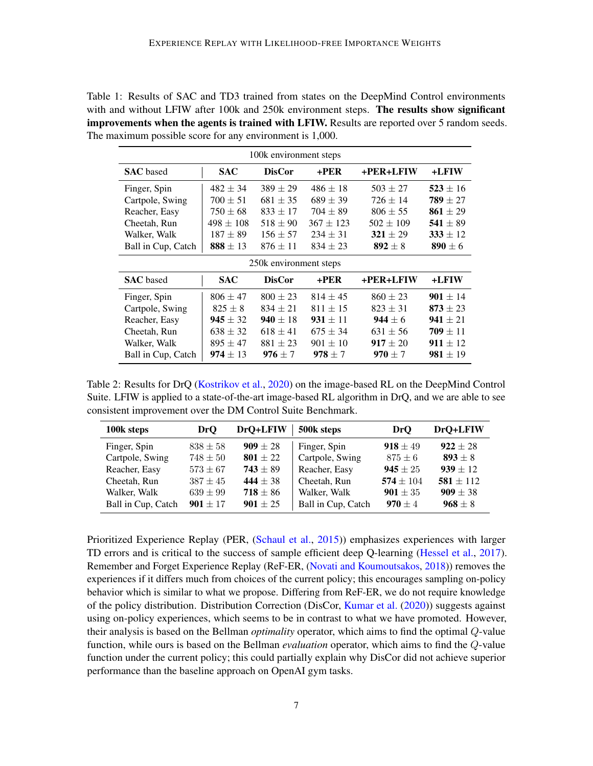<span id="page-6-0"></span>

| Table 1: Results of SAC and TD3 trained from states on the DeepMind Control environments            |  |  |  |  |  |
|-----------------------------------------------------------------------------------------------------|--|--|--|--|--|
| with and without LFIW after 100k and 250k environment steps. The results show significant           |  |  |  |  |  |
| <b>improvements when the agents is trained with LFIW.</b> Results are reported over 5 random seeds. |  |  |  |  |  |
| The maximum possible score for any environment is 1,000.                                            |  |  |  |  |  |

| 100k environment steps |               |               |               |               |              |  |
|------------------------|---------------|---------------|---------------|---------------|--------------|--|
| <b>SAC</b> based       | <b>SAC</b>    | <b>DisCor</b> | $+PER$        | +PER+LFIW     | +LFIW        |  |
| Finger, Spin           | $482 \pm 34$  | $389 \pm 29$  | $486 \pm 18$  | $503 \pm 27$  | $523 \pm 16$ |  |
| Cartpole, Swing        | $700 \pm 51$  | $681 \pm 35$  | $689 \pm 39$  | $726 \pm 14$  | $789 \pm 27$ |  |
| Reacher, Easy          | $750 \pm 68$  | $833 \pm 17$  | $704 \pm 89$  | $806 \pm 55$  | 861 $\pm 29$ |  |
| Cheetah, Run           | $498 \pm 108$ | $518 \pm 90$  | $367 \pm 123$ | $502 \pm 109$ | 541 $\pm$ 89 |  |
| Walker, Walk           | $187 \pm 89$  | $156 \pm 57$  | $234 \pm 31$  | $321 \pm 29$  | $333 \pm 12$ |  |
| Ball in Cup, Catch     | $888 \pm 13$  | $876 \pm 11$  | $834 \pm 23$  | $892 \pm 8$   | $890 \pm 6$  |  |
| 250k environment steps |               |               |               |               |              |  |
|                        |               |               |               |               |              |  |
| <b>SAC</b> based       | <b>SAC</b>    | <b>DisCor</b> | $+$ PER       | +PER+LFIW     | +LFIW        |  |
| Finger, Spin           | $806 \pm 47$  | $800 \pm 23$  | $814 \pm 45$  | $860 \pm 23$  | $901 \pm 14$ |  |
| Cartpole, Swing        | $825 \pm 8$   | $834 \pm 21$  | $811 \pm 15$  | $823 \pm 31$  | $873 \pm 23$ |  |
| Reacher, Easy          | $945 \pm 32$  | $940 \pm 18$  | $931 \pm 11$  | $944 \pm 6$   | $941 \pm 21$ |  |
| Cheetah, Run           | $638 \pm 32$  | $618 \pm 41$  | $675 \pm 34$  | $631 \pm 56$  | $709 \pm 11$ |  |
| Walker, Walk           | $895 \pm 47$  | $881 \pm 23$  | $901 \pm 10$  | $917 \pm 20$  | $911 \pm 12$ |  |

<span id="page-6-1"></span>Table 2: Results for DrQ [\(Kostrikov et al.,](#page-11-7) [2020\)](#page-11-7) on the image-based RL on the DeepMind Control Suite. LFIW is applied to a state-of-the-art image-based RL algorithm in DrQ, and we are able to see consistent improvement over the DM Control Suite Benchmark.

| 100k steps         | <b>DrO</b>   | DrQ+LFIW     | 500k steps         | DrO                 | DrQ+LFIW      |
|--------------------|--------------|--------------|--------------------|---------------------|---------------|
| Finger, Spin       | $838 \pm 58$ | $909 \pm 28$ | Finger, Spin       | $918 \pm 49$        | $922 \pm 28$  |
| Cartpole, Swing    | $748 \pm 50$ | $801 + 22$   | Cartpole, Swing    | $875 \pm 6$         | $893 + 8$     |
| Reacher, Easy      | $573 \pm 67$ | $743 \pm 89$ | Reacher, Easy      | $945 \pm 25$        | $939 + 12$    |
| Cheetah, Run       | $387 + 45$   | $444 \pm 38$ | Cheetah, Run       | $574 \pm 104$       | $581 \pm 112$ |
| Walker, Walk       | $639 \pm 99$ | $718 \pm 86$ | Walker, Walk       | <b>901</b> $\pm$ 35 | $909 \pm 38$  |
| Ball in Cup, Catch | $901 + 17$   | $901 \pm 25$ | Ball in Cup, Catch | $970 + 4$           | $968 \pm 8$   |

Prioritized Experience Replay (PER, [\(Schaul et al.,](#page-12-1) [2015\)](#page-12-1)) emphasizes experiences with larger TD errors and is critical to the success of sample efficient deep Q-learning [\(Hessel et al.,](#page-11-5) [2017\)](#page-11-5). Remember and Forget Experience Replay (ReF-ER, [\(Novati and Koumoutsakos,](#page-12-13) [2018\)](#page-12-13)) removes the experiences if it differs much from choices of the current policy; this encourages sampling on-policy behavior which is similar to what we propose. Differing from ReF-ER, we do not require knowledge of the policy distribution. Distribution Correction (DisCor, [Kumar et al.](#page-11-10) [\(2020\)](#page-11-10)) suggests against using on-policy experiences, which seems to be in contrast to what we have promoted. However, their analysis is based on the Bellman *optimality* operator, which aims to find the optimal Q-value function, while ours is based on the Bellman *evaluation* operator, which aims to find the Q-value function under the current policy; this could partially explain why DisCor did not achieve superior performance than the baseline approach on OpenAI gym tasks.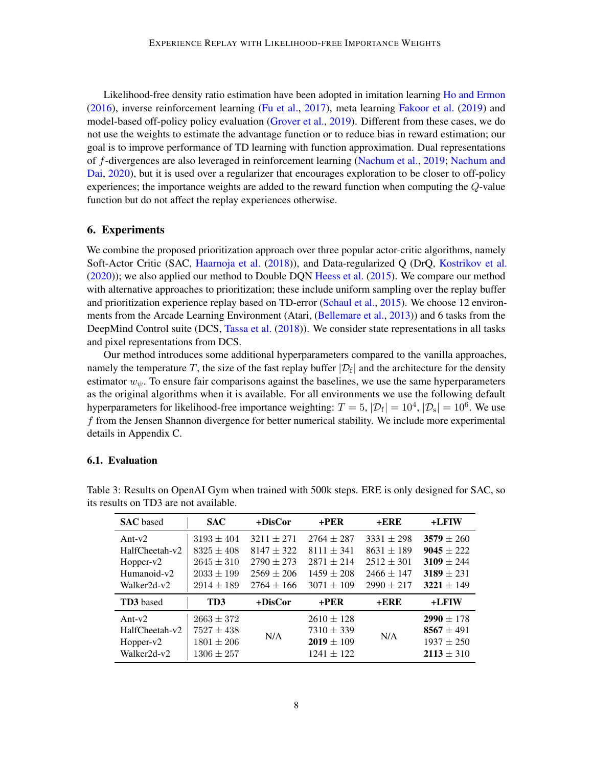Likelihood-free density ratio estimation have been adopted in imitation learning [Ho and Ermon](#page-11-11) [\(2016\)](#page-11-11), inverse reinforcement learning [\(Fu et al.,](#page-10-2) [2017\)](#page-10-2), meta learning [Fakoor et al.](#page-10-9) [\(2019\)](#page-10-9) and model-based off-policy policy evaluation [\(Grover et al.,](#page-10-3) [2019\)](#page-10-3). Different from these cases, we do not use the weights to estimate the advantage function or to reduce bias in reward estimation; our goal is to improve performance of TD learning with function approximation. Dual representations of f-divergences are also leveraged in reinforcement learning [\(Nachum et al.,](#page-11-12) [2019;](#page-11-12) [Nachum and](#page-11-13) [Dai,](#page-11-13) [2020\)](#page-11-13), but it is used over a regularizer that encourages exploration to be closer to off-policy experiences; the importance weights are added to the reward function when computing the Q-value function but do not affect the replay experiences otherwise.

### 6. Experiments

We combine the proposed prioritization approach over three popular actor-critic algorithms, namely Soft-Actor Critic (SAC, [Haarnoja et al.](#page-10-0) [\(2018\)](#page-10-0)), and Data-regularized Q (DrQ, [Kostrikov et al.](#page-11-7) [\(2020\)](#page-11-7)); we also applied our method to Double DQN [Heess et al.](#page-10-10) [\(2015\)](#page-10-10). We compare our method with alternative approaches to prioritization; these include uniform sampling over the replay buffer and prioritization experience replay based on TD-error [\(Schaul et al.,](#page-12-1) [2015\)](#page-12-1). We choose 12 environments from the Arcade Learning Environment (Atari, [\(Bellemare et al.,](#page-10-4) [2013\)](#page-10-4)) and 6 tasks from the DeepMind Control suite (DCS, [Tassa et al.](#page-12-4) [\(2018\)](#page-12-4)). We consider state representations in all tasks and pixel representations from DCS.

Our method introduces some additional hyperparameters compared to the vanilla approaches, namely the temperature T, the size of the fast replay buffer  $|\mathcal{D}_f|$  and the architecture for the density estimator  $w_{\psi}$ . To ensure fair comparisons against the baselines, we use the same hyperparameters as the original algorithms when it is available. For all environments we use the following default hyperparameters for likelihood-free importance weighting:  $T = 5$ ,  $|\mathcal{D}_f| = 10^4$ ,  $|\mathcal{D}_s| = 10^6$ . We use f from the Jensen Shannon divergence for better numerical stability. We include more experimental details in Appendix C.

### 6.1. Evaluation

| <b>SAC</b> based | <b>SAC</b>     | $+DisCor$      | $+$ PER        | $+ERE$         | $+$ <b>LFIW</b> |
|------------------|----------------|----------------|----------------|----------------|-----------------|
| Ant- $v2$        | $3193 \pm 404$ | $3211 \pm 271$ | $2764 + 287$   | $3331 \pm 298$ | $3579 \pm 260$  |
| HalfCheetah-v2   | $8325 + 408$   | $8147 + 322$   | $8111 \pm 341$ | $8631 \pm 189$ | $9045 \pm 222$  |
| Hopper-v2        | $2645 \pm 310$ | $2790 \pm 273$ | $2871 \pm 214$ | $2512 \pm 301$ | $3109 \pm 244$  |
| Humanoid-v2      | $2033 \pm 199$ | $2569 \pm 206$ | $1459 \pm 208$ | $2466 \pm 147$ | $3189 + 231$    |
| Walker2d-v2      | $2914 + 189$   | $2764 \pm 166$ | $3071 \pm 109$ | $2990 \pm 217$ | $3221 \pm 149$  |
| <b>TD3</b> based | TD3            | +DisCor        | $+PER$         | $+ERE$         | +LFIW           |
| Ant- $v2$        | $2663 \pm 372$ |                | $2610 \pm 128$ |                | $2990 \pm 178$  |
| HalfCheetah-v2   | $7527 \pm 438$ |                | $7310 \pm 339$ |                | 8567 $\pm$ 491  |
| $Hopper-v2$      | $1801 \pm 206$ | N/A            | $2019 \pm 109$ | N/A            | $1937 \pm 250$  |
| Walker2d-v2      | $1306 \pm 257$ |                | $1241 \pm 122$ |                | $2113 \pm 310$  |

<span id="page-7-0"></span>Table 3: Results on OpenAI Gym when trained with 500k steps. ERE is only designed for SAC, so its results on TD3 are not available.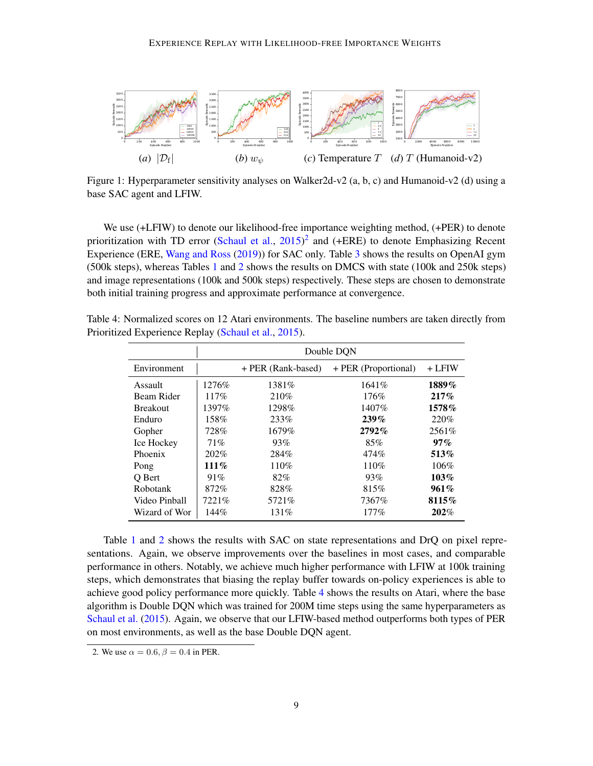<span id="page-8-2"></span>

Figure 1: Hyperparameter sensitivity analyses on Walker2d-v2 (a, b, c) and Humanoid-v2 (d) using a base SAC agent and LFIW.

We use (+LFIW) to denote our likelihood-free importance weighting method, (+PER) to denote prioritization with TD error [\(Schaul et al.,](#page-12-1)  $2015)^2$  $2015)^2$  $2015)^2$  and (+ERE) to denote Emphasizing Recent Experience (ERE, [Wang and Ross](#page-12-14) [\(2019\)](#page-12-14)) for SAC only. Table [3](#page-7-0) shows the results on OpenAI gym (500k steps), whereas Tables [1](#page-6-0) and [2](#page-6-1) shows the results on DMCS with state (100k and 250k steps) and image representations (100k and 500k steps) respectively. These steps are chosen to demonstrate both initial training progress and approximate performance at convergence.

|                 | Double DQN |                    |                      |          |  |
|-----------------|------------|--------------------|----------------------|----------|--|
| Environment     |            | + PER (Rank-based) | + PER (Proportional) | $+$ LFIW |  |
| Assault         | 1276\%     | 1381\%             | 1641%                | 1889%    |  |
| Beam Rider      | 117%       | 210\%              | 176%                 | 217%     |  |
| <b>Breakout</b> | 1397%      | 1298%              | 1407%                | 1578%    |  |
| Enduro          | 158%       | 233%               | 239%                 | 220\%    |  |
| Gopher          | 728%       | 1679%              | 2792%                | 2561\%   |  |
| Ice Hockey      | 71%        | 93%                | 85%                  | $97\%$   |  |
| Phoenix         | 202%       | 284%               | 474%                 | 513%     |  |
| Pong            | $111\%$    | 110%               | 110%                 | 106%     |  |
| O Bert          | 91%        | 82%                | 93%                  | 103%     |  |
| Robotank        | 872%       | 828%               | 815%                 | 961%     |  |
| Video Pinball   | 7221\%     | 5721\%             | 7367%                | 8115%    |  |
| Wizard of Wor   | 144%       | 131\%              | 177%                 | 202%     |  |

<span id="page-8-1"></span>Table 4: Normalized scores on 12 Atari environments. The baseline numbers are taken directly from Prioritized Experience Replay [\(Schaul et al.,](#page-12-1) [2015\)](#page-12-1).

Table [1](#page-6-0) and [2](#page-6-1) shows the results with SAC on state representations and DrQ on pixel representations. Again, we observe improvements over the baselines in most cases, and comparable performance in others. Notably, we achieve much higher performance with LFIW at 100k training steps, which demonstrates that biasing the replay buffer towards on-policy experiences is able to achieve good policy performance more quickly. Table [4](#page-8-1) shows the results on Atari, where the base algorithm is Double DQN which was trained for 200M time steps using the same hyperparameters as [Schaul et al.](#page-12-1) [\(2015\)](#page-12-1). Again, we observe that our LFIW-based method outperforms both types of PER on most environments, as well as the base Double DQN agent.

<span id="page-8-0"></span>2. We use  $\alpha = 0.6$ ,  $\beta = 0.4$  in PER.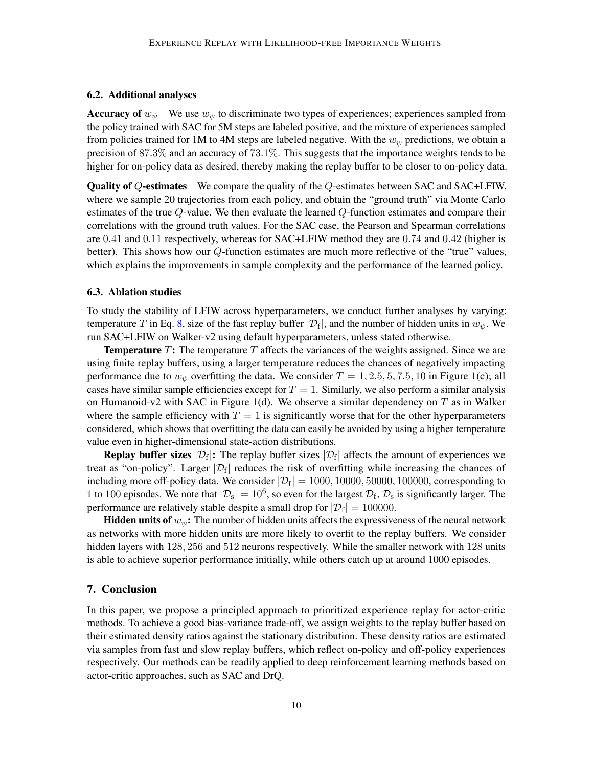### 6.2. Additional analyses

**Accuracy of**  $w_{\psi}$  We use  $w_{\psi}$  to discriminate two types of experiences; experiences sampled from the policy trained with SAC for 5M steps are labeled positive, and the mixture of experiences sampled from policies trained for 1M to 4M steps are labeled negative. With the  $w_{\psi}$  predictions, we obtain a precision of 87.3% and an accuracy of 73.1%. This suggests that the importance weights tends to be higher for on-policy data as desired, thereby making the replay buffer to be closer to on-policy data.

Quality of Q-estimates We compare the quality of the Q-estimates between SAC and SAC+LFIW, where we sample 20 trajectories from each policy, and obtain the "ground truth" via Monte Carlo estimates of the true Q-value. We then evaluate the learned Q-function estimates and compare their correlations with the ground truth values. For the SAC case, the Pearson and Spearman correlations are 0.41 and 0.11 respectively, whereas for SAC+LFIW method they are 0.74 and 0.42 (higher is better). This shows how our Q-function estimates are much more reflective of the "true" values, which explains the improvements in sample complexity and the performance of the learned policy.

#### 6.3. Ablation studies

To study the stability of LFIW across hyperparameters, we conduct further analyses by varying: temperature T in Eq. [8,](#page-5-0) size of the fast replay buffer  $|\mathcal{D}_f|$ , and the number of hidden units in  $w_{\psi}$ . We run SAC+LFIW on Walker-v2 using default hyperparameters, unless stated otherwise.

**Temperature** T: The temperature T affects the variances of the weights assigned. Since we are using finite replay buffers, using a larger temperature reduces the chances of negatively impacting performance due to  $w_{\psi}$  overfitting the data. We consider  $T = 1, 2.5, 5, 7.5, 10$  in Figure [1\(](#page-8-2)c); all cases have similar sample efficiencies except for  $T = 1$ . Similarly, we also perform a similar analysis on Humanoid-v2 with SAC in Figure [1\(](#page-8-2)d). We observe a similar dependency on  $T$  as in Walker where the sample efficiency with  $T = 1$  is significantly worse that for the other hyperparameters considered, which shows that overfitting the data can easily be avoided by using a higher temperature value even in higher-dimensional state-action distributions.

**Replay buffer sizes**  $|\mathcal{D}_f|$ : The replay buffer sizes  $|\mathcal{D}_f|$  affects the amount of experiences we treat as "on-policy". Larger  $|\mathcal{D}_f|$  reduces the risk of overfitting while increasing the chances of including more off-policy data. We consider  $|\mathcal{D}_{\rm f}| = 1000, 10000, 50000, 100000$ , corresponding to 1 to 100 episodes. We note that  $|\mathcal{D}_s| = 10^6$ , so even for the largest  $\mathcal{D}_f$ ,  $\mathcal{D}_s$  is significantly larger. The performance are relatively stable despite a small drop for  $|\mathcal{D}_f| = 100000$ .

**Hidden units of**  $w_{\psi}$ **:** The number of hidden units affects the expressiveness of the neural network as networks with more hidden units are more likely to overfit to the replay buffers. We consider hidden layers with 128, 256 and 512 neurons respectively. While the smaller network with 128 units is able to achieve superior performance initially, while others catch up at around 1000 episodes.

### 7. Conclusion

In this paper, we propose a principled approach to prioritized experience replay for actor-critic methods. To achieve a good bias-variance trade-off, we assign weights to the replay buffer based on their estimated density ratios against the stationary distribution. These density ratios are estimated via samples from fast and slow replay buffers, which reflect on-policy and off-policy experiences respectively. Our methods can be readily applied to deep reinforcement learning methods based on actor-critic approaches, such as SAC and DrQ.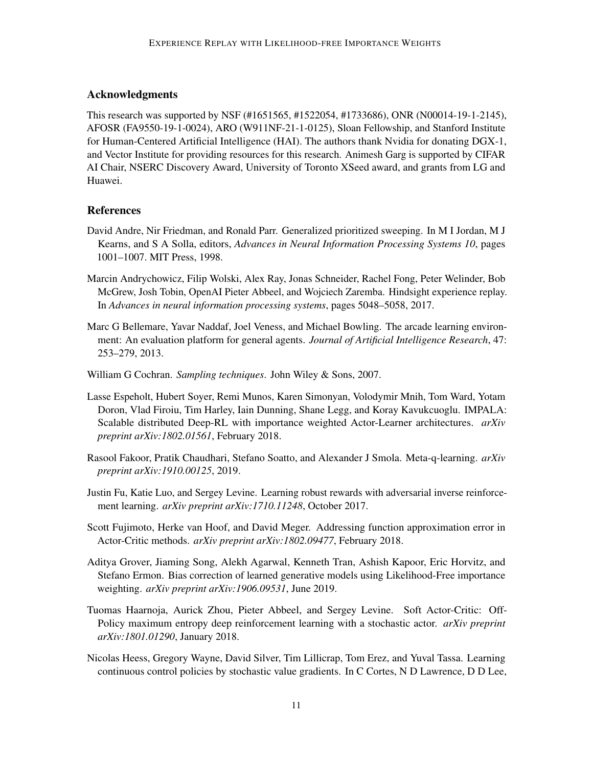## Acknowledgments

This research was supported by NSF (#1651565, #1522054, #1733686), ONR (N00014-19-1-2145), AFOSR (FA9550-19-1-0024), ARO (W911NF-21-1-0125), Sloan Fellowship, and Stanford Institute for Human-Centered Artificial Intelligence (HAI). The authors thank Nvidia for donating DGX-1, and Vector Institute for providing resources for this research. Animesh Garg is supported by CIFAR AI Chair, NSERC Discovery Award, University of Toronto XSeed award, and grants from LG and Huawei.

## **References**

- <span id="page-10-8"></span>David Andre, Nir Friedman, and Ronald Parr. Generalized prioritized sweeping. In M I Jordan, M J Kearns, and S A Solla, editors, *Advances in Neural Information Processing Systems 10*, pages 1001–1007. MIT Press, 1998.
- <span id="page-10-6"></span>Marcin Andrychowicz, Filip Wolski, Alex Ray, Jonas Schneider, Rachel Fong, Peter Welinder, Bob McGrew, Josh Tobin, OpenAI Pieter Abbeel, and Wojciech Zaremba. Hindsight experience replay. In *Advances in neural information processing systems*, pages 5048–5058, 2017.
- <span id="page-10-4"></span>Marc G Bellemare, Yavar Naddaf, Joel Veness, and Michael Bowling. The arcade learning environment: An evaluation platform for general agents. *Journal of Artificial Intelligence Research*, 47: 253–279, 2013.
- <span id="page-10-5"></span>William G Cochran. *Sampling techniques*. John Wiley & Sons, 2007.
- <span id="page-10-7"></span>Lasse Espeholt, Hubert Soyer, Remi Munos, Karen Simonyan, Volodymir Mnih, Tom Ward, Yotam Doron, Vlad Firoiu, Tim Harley, Iain Dunning, Shane Legg, and Koray Kavukcuoglu. IMPALA: Scalable distributed Deep-RL with importance weighted Actor-Learner architectures. *arXiv preprint arXiv:1802.01561*, February 2018.
- <span id="page-10-9"></span>Rasool Fakoor, Pratik Chaudhari, Stefano Soatto, and Alexander J Smola. Meta-q-learning. *arXiv preprint arXiv:1910.00125*, 2019.
- <span id="page-10-2"></span>Justin Fu, Katie Luo, and Sergey Levine. Learning robust rewards with adversarial inverse reinforcement learning. *arXiv preprint arXiv:1710.11248*, October 2017.
- <span id="page-10-1"></span>Scott Fujimoto, Herke van Hoof, and David Meger. Addressing function approximation error in Actor-Critic methods. *arXiv preprint arXiv:1802.09477*, February 2018.
- <span id="page-10-3"></span>Aditya Grover, Jiaming Song, Alekh Agarwal, Kenneth Tran, Ashish Kapoor, Eric Horvitz, and Stefano Ermon. Bias correction of learned generative models using Likelihood-Free importance weighting. *arXiv preprint arXiv:1906.09531*, June 2019.
- <span id="page-10-0"></span>Tuomas Haarnoja, Aurick Zhou, Pieter Abbeel, and Sergey Levine. Soft Actor-Critic: Off-Policy maximum entropy deep reinforcement learning with a stochastic actor. *arXiv preprint arXiv:1801.01290*, January 2018.
- <span id="page-10-10"></span>Nicolas Heess, Gregory Wayne, David Silver, Tim Lillicrap, Tom Erez, and Yuval Tassa. Learning continuous control policies by stochastic value gradients. In C Cortes, N D Lawrence, D D Lee,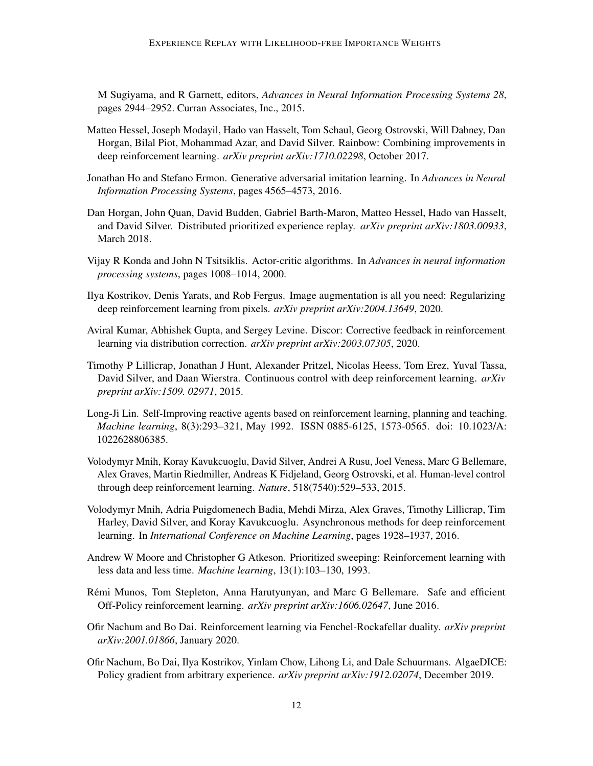M Sugiyama, and R Garnett, editors, *Advances in Neural Information Processing Systems 28*, pages 2944–2952. Curran Associates, Inc., 2015.

- <span id="page-11-5"></span>Matteo Hessel, Joseph Modayil, Hado van Hasselt, Tom Schaul, Georg Ostrovski, Will Dabney, Dan Horgan, Bilal Piot, Mohammad Azar, and David Silver. Rainbow: Combining improvements in deep reinforcement learning. *arXiv preprint arXiv:1710.02298*, October 2017.
- <span id="page-11-11"></span>Jonathan Ho and Stefano Ermon. Generative adversarial imitation learning. In *Advances in Neural Information Processing Systems*, pages 4565–4573, 2016.
- <span id="page-11-2"></span>Dan Horgan, John Quan, David Budden, Gabriel Barth-Maron, Matteo Hessel, Hado van Hasselt, and David Silver. Distributed prioritized experience replay. *arXiv preprint arXiv:1803.00933*, March 2018.
- <span id="page-11-6"></span>Vijay R Konda and John N Tsitsiklis. Actor-critic algorithms. In *Advances in neural information processing systems*, pages 1008–1014, 2000.
- <span id="page-11-7"></span>Ilya Kostrikov, Denis Yarats, and Rob Fergus. Image augmentation is all you need: Regularizing deep reinforcement learning from pixels. *arXiv preprint arXiv:2004.13649*, 2020.
- <span id="page-11-10"></span>Aviral Kumar, Abhishek Gupta, and Sergey Levine. Discor: Corrective feedback in reinforcement learning via distribution correction. *arXiv preprint arXiv:2003.07305*, 2020.
- <span id="page-11-1"></span>Timothy P Lillicrap, Jonathan J Hunt, Alexander Pritzel, Nicolas Heess, Tom Erez, Yuval Tassa, David Silver, and Daan Wierstra. Continuous control with deep reinforcement learning. *arXiv preprint arXiv:1509. 02971*, 2015.
- <span id="page-11-3"></span>Long-Ji Lin. Self-Improving reactive agents based on reinforcement learning, planning and teaching. *Machine learning*, 8(3):293–321, May 1992. ISSN 0885-6125, 1573-0565. doi: 10.1023/A: 1022628806385.
- <span id="page-11-4"></span>Volodymyr Mnih, Koray Kavukcuoglu, David Silver, Andrei A Rusu, Joel Veness, Marc G Bellemare, Alex Graves, Martin Riedmiller, Andreas K Fidjeland, Georg Ostrovski, et al. Human-level control through deep reinforcement learning. *Nature*, 518(7540):529–533, 2015.
- <span id="page-11-0"></span>Volodymyr Mnih, Adria Puigdomenech Badia, Mehdi Mirza, Alex Graves, Timothy Lillicrap, Tim Harley, David Silver, and Koray Kavukcuoglu. Asynchronous methods for deep reinforcement learning. In *International Conference on Machine Learning*, pages 1928–1937, 2016.
- <span id="page-11-9"></span>Andrew W Moore and Christopher G Atkeson. Prioritized sweeping: Reinforcement learning with less data and less time. *Machine learning*, 13(1):103–130, 1993.
- <span id="page-11-8"></span>Remi Munos, Tom Stepleton, Anna Harutyunyan, and Marc G Bellemare. Safe and efficient ´ Off-Policy reinforcement learning. *arXiv preprint arXiv:1606.02647*, June 2016.
- <span id="page-11-13"></span>Ofir Nachum and Bo Dai. Reinforcement learning via Fenchel-Rockafellar duality. *arXiv preprint arXiv:2001.01866*, January 2020.
- <span id="page-11-12"></span>Ofir Nachum, Bo Dai, Ilya Kostrikov, Yinlam Chow, Lihong Li, and Dale Schuurmans. AlgaeDICE: Policy gradient from arbitrary experience. *arXiv preprint arXiv:1912.02074*, December 2019.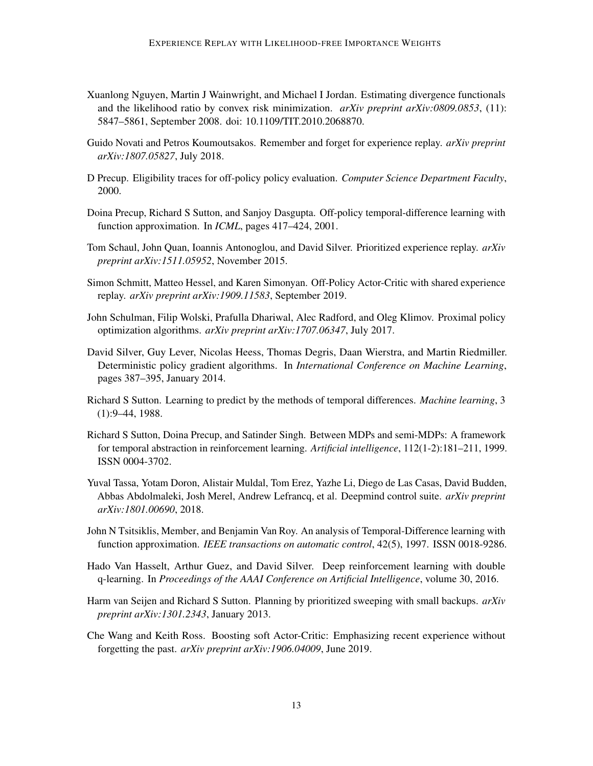- <span id="page-12-9"></span>Xuanlong Nguyen, Martin J Wainwright, and Michael I Jordan. Estimating divergence functionals and the likelihood ratio by convex risk minimization. *arXiv preprint arXiv:0809.0853*, (11): 5847–5861, September 2008. doi: 10.1109/TIT.2010.2068870.
- <span id="page-12-13"></span>Guido Novati and Petros Koumoutsakos. Remember and forget for experience replay. *arXiv preprint arXiv:1807.05827*, July 2018.
- <span id="page-12-8"></span>D Precup. Eligibility traces for off-policy policy evaluation. *Computer Science Department Faculty*, 2000.
- <span id="page-12-10"></span>Doina Precup, Richard S Sutton, and Sanjoy Dasgupta. Off-policy temporal-difference learning with function approximation. In *ICML*, pages 417–424, 2001.
- <span id="page-12-1"></span>Tom Schaul, John Quan, Ioannis Antonoglou, and David Silver. Prioritized experience replay. *arXiv preprint arXiv:1511.05952*, November 2015.
- <span id="page-12-11"></span>Simon Schmitt, Matteo Hessel, and Karen Simonyan. Off-Policy Actor-Critic with shared experience replay. *arXiv preprint arXiv:1909.11583*, September 2019.
- <span id="page-12-0"></span>John Schulman, Filip Wolski, Prafulla Dhariwal, Alec Radford, and Oleg Klimov. Proximal policy optimization algorithms. *arXiv preprint arXiv:1707.06347*, July 2017.
- <span id="page-12-5"></span>David Silver, Guy Lever, Nicolas Heess, Thomas Degris, Daan Wierstra, and Martin Riedmiller. Deterministic policy gradient algorithms. In *International Conference on Machine Learning*, pages 387–395, January 2014.
- <span id="page-12-6"></span>Richard S Sutton. Learning to predict by the methods of temporal differences. *Machine learning*, 3 (1):9–44, 1988.
- <span id="page-12-7"></span>Richard S Sutton, Doina Precup, and Satinder Singh. Between MDPs and semi-MDPs: A framework for temporal abstraction in reinforcement learning. *Artificial intelligence*, 112(1-2):181–211, 1999. ISSN 0004-3702.
- <span id="page-12-4"></span>Yuval Tassa, Yotam Doron, Alistair Muldal, Tom Erez, Yazhe Li, Diego de Las Casas, David Budden, Abbas Abdolmaleki, Josh Merel, Andrew Lefrancq, et al. Deepmind control suite. *arXiv preprint arXiv:1801.00690*, 2018.
- <span id="page-12-2"></span>John N Tsitsiklis, Member, and Benjamin Van Roy. An analysis of Temporal-Difference learning with function approximation. *IEEE transactions on automatic control*, 42(5), 1997. ISSN 0018-9286.
- <span id="page-12-3"></span>Hado Van Hasselt, Arthur Guez, and David Silver. Deep reinforcement learning with double q-learning. In *Proceedings of the AAAI Conference on Artificial Intelligence*, volume 30, 2016.
- <span id="page-12-12"></span>Harm van Seijen and Richard S Sutton. Planning by prioritized sweeping with small backups. *arXiv preprint arXiv:1301.2343*, January 2013.
- <span id="page-12-14"></span>Che Wang and Keith Ross. Boosting soft Actor-Critic: Emphasizing recent experience without forgetting the past. *arXiv preprint arXiv:1906.04009*, June 2019.